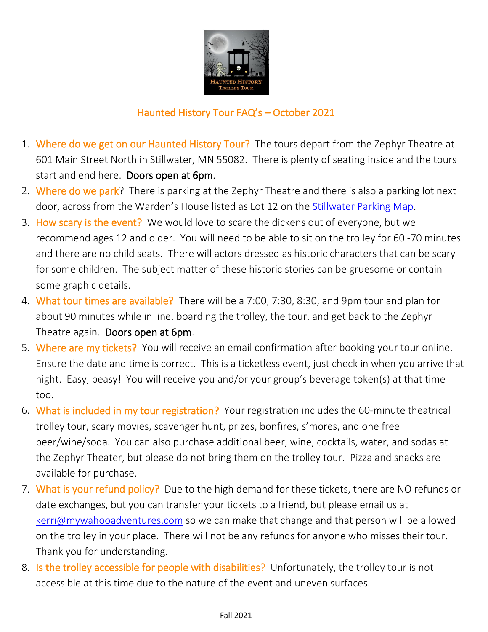

## Haunted History Tour FAQ's – October 2021

- 1. Where do we get on our Haunted History Tour? The tours depart from the Zephyr Theatre at 601 Main Street North in Stillwater, MN 55082. There is plenty of seating inside and the tours start and end here. Doors open at 6pm.
- 2. Where do we park? There is parking at the Zephyr Theatre and there is also a parking lot next door, across from the Warden's House listed as Lot 12 on the [Stillwater Parking Map.](https://www.ci.stillwater.mn.us/home/showpublisheddocument/1059/637497666436400000)
- 3. How scary is the event? We would love to scare the dickens out of everyone, but we recommend ages 12 and older. You will need to be able to sit on the trolley for 60 -70 minutes and there are no child seats. There will actors dressed as historic characters that can be scary for some children. The subject matter of these historic stories can be gruesome or contain some graphic details.
- 4. What tour times are available? There will be a 7:00, 7:30, 8:30, and 9pm tour and plan for about 90 minutes while in line, boarding the trolley, the tour, and get back to the Zephyr Theatre again. Doors open at 6pm.
- 5. Where are my tickets? You will receive an email confirmation after booking your tour online. Ensure the date and time is correct. This is a ticketless event, just check in when you arrive that night. Easy, peasy! You will receive you and/or your group's beverage token(s) at that time too.
- 6. What is included in my tour registration? Your registration includes the 60-minute theatrical trolley tour, scary movies, scavenger hunt, prizes, bonfires, s'mores, and one free beer/wine/soda. You can also purchase additional beer, wine, cocktails, water, and sodas at the Zephyr Theater, but please do not bring them on the trolley tour. Pizza and snacks are available for purchase.
- 7. What is your refund policy? Due to the high demand for these tickets, there are NO refunds or date exchanges, but you can transfer your tickets to a friend, but please email us at [kerri@mywahooadventures.com](mailto:kerri@mywahooadventures.com) so we can make that change and that person will be allowed on the trolley in your place. There will not be any refunds for anyone who misses their tour. Thank you for understanding.
- 8. Is the trolley accessible for people with disabilities? Unfortunately, the trolley tour is not accessible at this time due to the nature of the event and uneven surfaces.